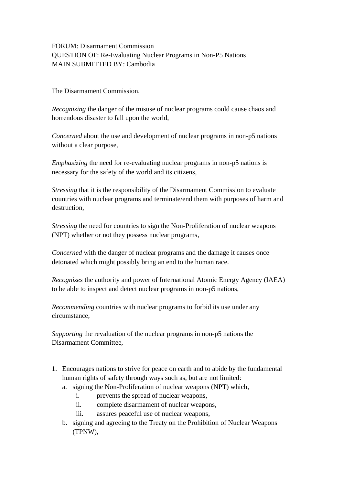FORUM: Disarmament Commission QUESTION OF: Re-Evaluating Nuclear Programs in Non-P5 Nations MAIN SUBMITTED BY: Cambodia

The Disarmament Commission,

*Recognizing* the danger of the misuse of nuclear programs could cause chaos and horrendous disaster to fall upon the world.

*Concerned* about the use and development of nuclear programs in non-p5 nations without a clear purpose,

*Emphasizing* the need for re-evaluating nuclear programs in non-p5 nations is necessary for the safety of the world and its citizens,

*Stressing* that it is the responsibility of the Disarmament Commission to evaluate countries with nuclear programs and terminate/end them with purposes of harm and destruction,

*Stressing* the need for countries to sign the Non-Proliferation of nuclear weapons (NPT) whether or not they possess nuclear programs,

*Concerned* with the danger of nuclear programs and the damage it causes once detonated which might possibly bring an end to the human race.

*Recognizes* the authority and power of International Atomic Energy Agency (IAEA) to be able to inspect and detect nuclear programs in non-p5 nations,

*Recommending* countries with nuclear programs to forbid its use under any circumstance,

*Supporting* the revaluation of the nuclear programs in non-p5 nations the Disarmament Committee,

- 1. Encourages nations to strive for peace on earth and to abide by the fundamental human rights of safety through ways such as, but are not limited:
	- a. signing the Non-Proliferation of nuclear weapons (NPT) which,
		- i. prevents the spread of nuclear weapons,
		- ii. complete disarmament of nuclear weapons,
		- iii. assures peaceful use of nuclear weapons,
	- b. signing and agreeing to the Treaty on the Prohibition of Nuclear Weapons (TPNW),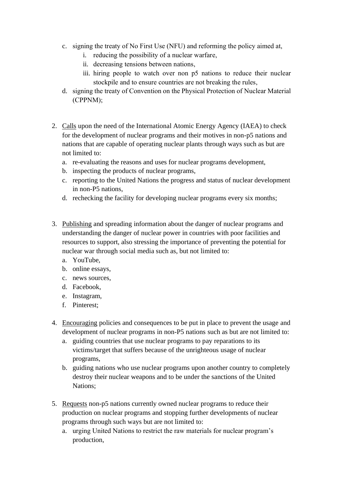- c. signing the treaty of No First Use (NFU) and reforming the policy aimed at,
	- i. reducing the possibility of a nuclear warfare,
	- ii. decreasing tensions between nations,
	- iii. hiring people to watch over non p5 nations to reduce their nuclear stockpile and to ensure countries are not breaking the rules,
- d. signing the treaty of Convention on the Physical Protection of Nuclear Material (CPPNM);
- 2. Calls upon the need of the International Atomic Energy Agency (IAEA) to check for the development of nuclear programs and their motives in non-p5 nations and nations that are capable of operating nuclear plants through ways such as but are not limited to:
	- a. re-evaluating the reasons and uses for nuclear programs development,
	- b. inspecting the products of nuclear programs,
	- c. reporting to the United Nations the progress and status of nuclear development in non-P5 nations,
	- d. rechecking the facility for developing nuclear programs every six months;
- 3. Publishing and spreading information about the danger of nuclear programs and understanding the danger of nuclear power in countries with poor facilities and resources to support, also stressing the importance of preventing the potential for nuclear war through social media such as, but not limited to:
	- a. YouTube,
	- b. online essays,
	- c. news sources,
	- d. Facebook,
	- e. Instagram,
	- f. Pinterest;
- 4. Encouraging policies and consequences to be put in place to prevent the usage and development of nuclear programs in non-P5 nations such as but are not limited to:
	- a. guiding countries that use nuclear programs to pay reparations to its victims/target that suffers because of the unrighteous usage of nuclear programs,
	- b. guiding nations who use nuclear programs upon another country to completely destroy their nuclear weapons and to be under the sanctions of the United Nations;
- 5. Requests non-p5 nations currently owned nuclear programs to reduce their production on nuclear programs and stopping further developments of nuclear programs through such ways but are not limited to:
	- a. urging United Nations to restrict the raw materials for nuclear program's production,